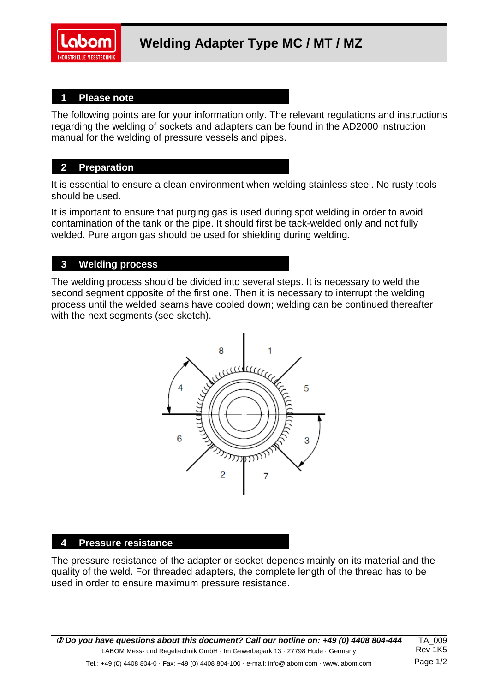

#### **1 Please note**

The following points are for your information only. The relevant regulations and instructions regarding the welding of sockets and adapters can be found in the AD2000 instruction manual for the welding of pressure vessels and pipes.

## **2 Preparation**

It is essential to ensure a clean environment when welding stainless steel. No rusty tools should be used.

It is important to ensure that purging gas is used during spot welding in order to avoid contamination of the tank or the pipe. It should first be tack-welded only and not fully welded. Pure argon gas should be used for shielding during welding.

#### **3 Welding process**

The welding process should be divided into several steps. It is necessary to weld the second segment opposite of the first one. Then it is necessary to interrupt the welding process until the welded seams have cooled down; welding can be continued thereafter with the next segments (see sketch).



### **4 Pressure resistance**

The pressure resistance of the adapter or socket depends mainly on its material and the quality of the weld. For threaded adapters, the complete length of the thread has to be used in order to ensure maximum pressure resistance.